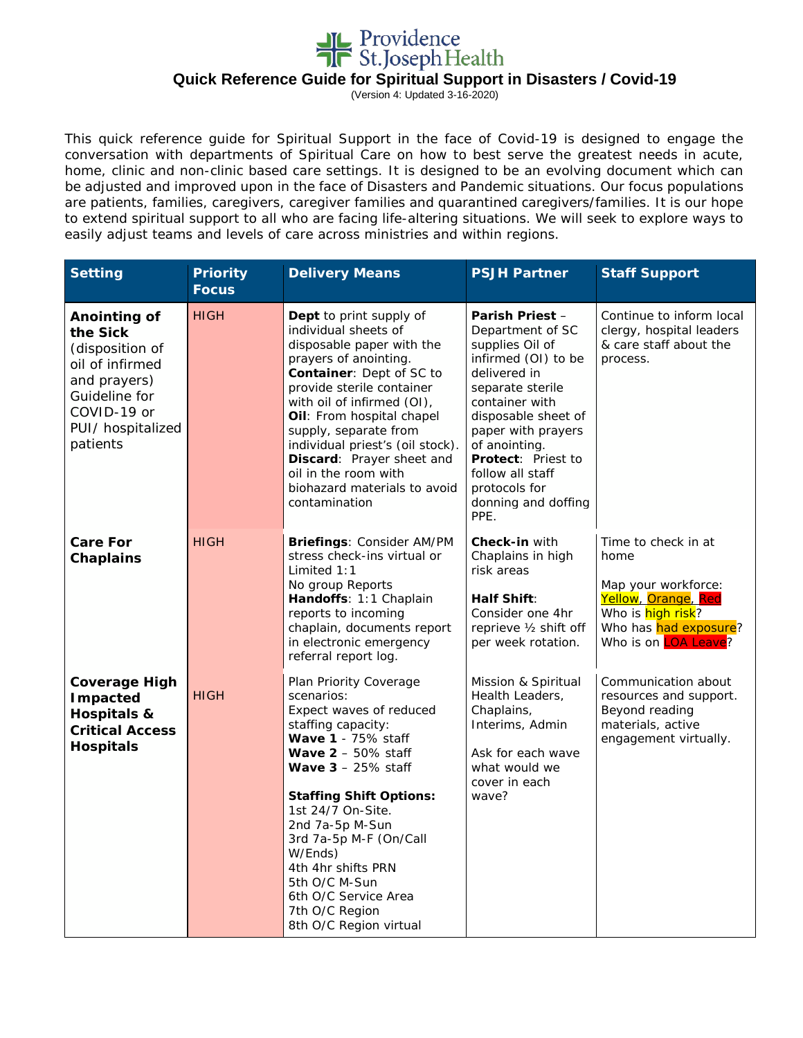

(Version 4: Updated 3-16-2020)

This quick reference guide for Spiritual Support in the face of Covid-19 is designed to engage the conversation with departments of Spiritual Care on how to best serve the greatest needs in acute, home, clinic and non-clinic based care settings. It is designed to be an evolving document which can be adjusted and improved upon in the face of Disasters and Pandemic situations. Our focus populations are patients, families, caregivers, caregiver families and quarantined caregivers/families. It is our hope to extend spiritual support to all who are facing life-altering situations. We will seek to explore ways to easily adjust teams and levels of care across ministries and within regions.

| <b>Setting</b>                                                                                                                                  | <b>Priority</b><br><b>Focus</b> | <b>Delivery Means</b>                                                                                                                                                                                                                                                                                                                                                                                     | <b>PSJH Partner</b>                                                                                                                                                                                                                                                                                       | <b>Staff Support</b>                                                                                                                            |
|-------------------------------------------------------------------------------------------------------------------------------------------------|---------------------------------|-----------------------------------------------------------------------------------------------------------------------------------------------------------------------------------------------------------------------------------------------------------------------------------------------------------------------------------------------------------------------------------------------------------|-----------------------------------------------------------------------------------------------------------------------------------------------------------------------------------------------------------------------------------------------------------------------------------------------------------|-------------------------------------------------------------------------------------------------------------------------------------------------|
| Anointing of<br>the Sick<br>(disposition of<br>oil of infirmed<br>and prayers)<br>Guideline for<br>COVID-19 or<br>PUI/ hospitalized<br>patients | <b>HIGH</b>                     | Dept to print supply of<br>individual sheets of<br>disposable paper with the<br>prayers of anointing.<br>Container: Dept of SC to<br>provide sterile container<br>with oil of infirmed (OI),<br>Oil: From hospital chapel<br>supply, separate from<br>individual priest's (oil stock).<br>Discard: Prayer sheet and<br>oil in the room with<br>biohazard materials to avoid<br>contamination              | <b>Parish Priest -</b><br>Department of SC<br>supplies Oil of<br>infirmed (OI) to be<br>delivered in<br>separate sterile<br>container with<br>disposable sheet of<br>paper with prayers<br>of anointing.<br><b>Protect: Priest to</b><br>follow all staff<br>protocols for<br>donning and doffing<br>PPE. | Continue to inform local<br>clergy, hospital leaders<br>& care staff about the<br>process.                                                      |
| <b>Care For</b><br><b>Chaplains</b>                                                                                                             | <b>HIGH</b>                     | Briefings: Consider AM/PM<br>stress check-ins virtual or<br>Limited $1:1$<br>No group Reports<br>Handoffs: 1:1 Chaplain<br>reports to incoming<br>chaplain, documents report<br>in electronic emergency<br>referral report log.                                                                                                                                                                           | Check-in with<br>Chaplains in high<br>risk areas<br>Half Shift:<br>Consider one 4hr<br>reprieve 1/2 shift off<br>per week rotation.                                                                                                                                                                       | Time to check in at<br>home<br>Map your workforce:<br>Yellow, Orange, Red<br>Who is high risk?<br>Who has had exposure?<br>Who is on LOA Leave? |
| <b>Coverage High</b><br>Impacted<br>Hospitals &<br><b>Critical Access</b><br><b>Hospitals</b>                                                   | <b>HIGH</b>                     | Plan Priority Coverage<br>scenarios:<br>Expect waves of reduced<br>staffing capacity:<br>Wave 1 - 75% staff<br>Wave $2 - 50\%$ staff<br><b>Wave <math>3 - 25\%</math> staff</b><br><b>Staffing Shift Options:</b><br>1st 24/7 On-Site.<br>2nd 7a-5p M-Sun<br>3rd 7a-5p M-F (On/Call<br>W/Ends)<br>4th 4hr shifts PRN<br>5th O/C M-Sun<br>6th O/C Service Area<br>7th O/C Region<br>8th O/C Region virtual | Mission & Spiritual<br>Health Leaders,<br>Chaplains,<br>Interims, Admin<br>Ask for each wave<br>what would we<br>cover in each<br>wave?                                                                                                                                                                   | Communication about<br>resources and support.<br>Beyond reading<br>materials, active<br>engagement virtually.                                   |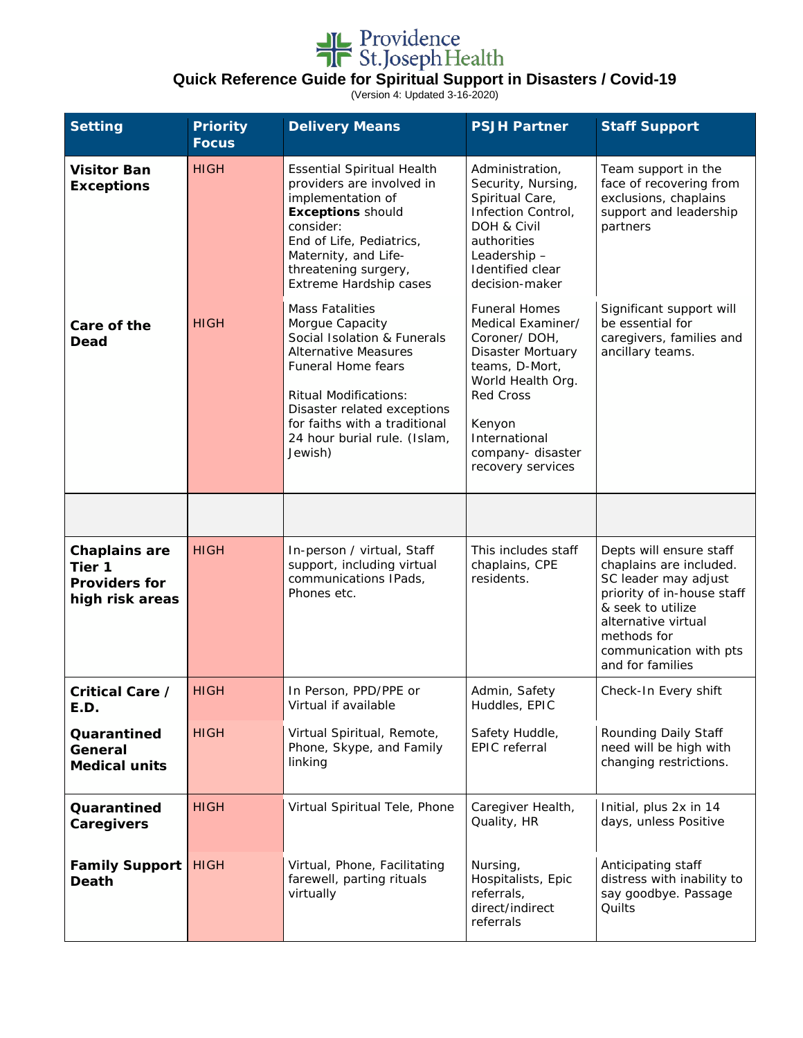

(Version 4: Updated 3-16-2020)

| <b>Setting</b>                                                            | <b>Priority</b><br><b>Focus</b> | <b>Delivery Means</b>                                                                                                                                                                                                                                                    | <b>PSJH Partner</b>                                                                                                                                                                                                  | <b>Staff Support</b>                                                                                                                                                                                              |
|---------------------------------------------------------------------------|---------------------------------|--------------------------------------------------------------------------------------------------------------------------------------------------------------------------------------------------------------------------------------------------------------------------|----------------------------------------------------------------------------------------------------------------------------------------------------------------------------------------------------------------------|-------------------------------------------------------------------------------------------------------------------------------------------------------------------------------------------------------------------|
| <b>Visitor Ban</b><br><b>Exceptions</b>                                   | <b>HIGH</b>                     | Essential Spiritual Health<br>providers are involved in<br>implementation of<br><b>Exceptions should</b><br>consider:<br>End of Life, Pediatrics,<br>Maternity, and Life-<br>threatening surgery,<br>Extreme Hardship cases                                              | Administration,<br>Security, Nursing,<br>Spiritual Care,<br>Infection Control,<br>DOH & Civil<br>authorities<br>Leadership-<br>Identified clear<br>decision-maker                                                    | Team support in the<br>face of recovering from<br>exclusions, chaplains<br>support and leadership<br>partners                                                                                                     |
| Care of the<br>Dead                                                       | <b>HIGH</b>                     | <b>Mass Fatalities</b><br>Morgue Capacity<br>Social Isolation & Funerals<br><b>Alternative Measures</b><br>Funeral Home fears<br><b>Ritual Modifications:</b><br>Disaster related exceptions<br>for faiths with a traditional<br>24 hour burial rule. (Islam,<br>Jewish) | <b>Funeral Homes</b><br>Medical Examiner/<br>Coroner/DOH,<br><b>Disaster Mortuary</b><br>teams, D-Mort,<br>World Health Org.<br><b>Red Cross</b><br>Kenyon<br>International<br>company-disaster<br>recovery services | Significant support will<br>be essential for<br>caregivers, families and<br>ancillary teams.                                                                                                                      |
|                                                                           |                                 |                                                                                                                                                                                                                                                                          |                                                                                                                                                                                                                      |                                                                                                                                                                                                                   |
| <b>Chaplains are</b><br>Tier 1<br><b>Providers for</b><br>high risk areas | <b>HIGH</b>                     | In-person / virtual, Staff<br>support, including virtual<br>communications IPads,<br>Phones etc.                                                                                                                                                                         | This includes staff<br>chaplains, CPE<br>residents.                                                                                                                                                                  | Depts will ensure staff<br>chaplains are included.<br>SC leader may adjust<br>priority of in-house staff<br>& seek to utilize<br>alternative virtual<br>methods for<br>communication with pts<br>and for families |
| Critical Care /<br>E.D.                                                   | <b>HIGH</b>                     | In Person, PPD/PPE or<br>Virtual if available                                                                                                                                                                                                                            | Admin, Safety<br>Huddles, EPIC                                                                                                                                                                                       | Check-In Every shift                                                                                                                                                                                              |
| Quarantined<br>General<br><b>Medical units</b>                            | <b>HIGH</b>                     | Virtual Spiritual, Remote,<br>Phone, Skype, and Family<br>linking                                                                                                                                                                                                        | Safety Huddle,<br><b>EPIC</b> referral                                                                                                                                                                               | Rounding Daily Staff<br>need will be high with<br>changing restrictions.                                                                                                                                          |
| Quarantined<br>Caregivers                                                 | <b>HIGH</b>                     | Virtual Spiritual Tele, Phone                                                                                                                                                                                                                                            | Caregiver Health,<br>Quality, HR                                                                                                                                                                                     | Initial, plus 2x in 14<br>days, unless Positive                                                                                                                                                                   |
| <b>Family Support</b><br><b>Death</b>                                     | <b>HIGH</b>                     | Virtual, Phone, Facilitating<br>farewell, parting rituals<br>virtually                                                                                                                                                                                                   | Nursing,<br>Hospitalists, Epic<br>referrals,<br>direct/indirect<br>referrals                                                                                                                                         | Anticipating staff<br>distress with inability to<br>say goodbye. Passage<br>Quilts                                                                                                                                |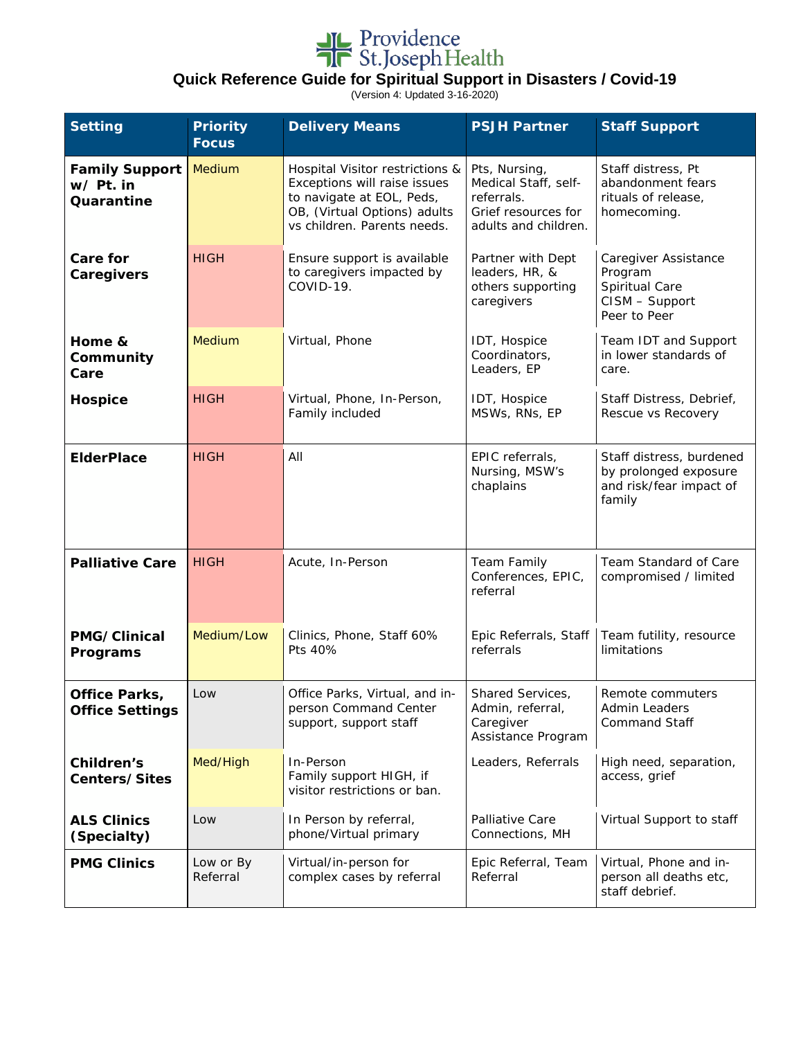

(Version 4: Updated 3-16-2020)

| <b>Setting</b>                                   | <b>Priority</b><br><b>Focus</b> | <b>Delivery Means</b>                                                                                                                                       | <b>PSJH Partner</b>                                                                                | <b>Staff Support</b>                                                                   |
|--------------------------------------------------|---------------------------------|-------------------------------------------------------------------------------------------------------------------------------------------------------------|----------------------------------------------------------------------------------------------------|----------------------------------------------------------------------------------------|
| <b>Family Support</b><br>w/ Pt. in<br>Quarantine | Medium                          | Hospital Visitor restrictions &<br>Exceptions will raise issues<br>to navigate at EOL, Peds,<br>OB, (Virtual Options) adults<br>vs children. Parents needs. | Pts, Nursing,<br>Medical Staff, self-<br>referrals.<br>Grief resources for<br>adults and children. | Staff distress, Pt<br>abandonment fears<br>rituals of release,<br>homecoming.          |
| <b>Care for</b><br>Caregivers                    | <b>HIGH</b>                     | Ensure support is available<br>to caregivers impacted by<br>COVID-19.                                                                                       | Partner with Dept<br>leaders, HR, &<br>others supporting<br>caregivers                             | Caregiver Assistance<br>Program<br>Spiritual Care<br>CISM - Support<br>Peer to Peer    |
| Home &<br>Community<br>Care                      | Medium                          | Virtual, Phone                                                                                                                                              | IDT, Hospice<br>Coordinators,<br>Leaders, EP                                                       | Team IDT and Support<br>in lower standards of<br>care.                                 |
| <b>Hospice</b>                                   | <b>HIGH</b>                     | Virtual, Phone, In-Person,<br>Family included                                                                                                               | IDT, Hospice<br>MSWs, RNs, EP                                                                      | Staff Distress, Debrief,<br>Rescue vs Recovery                                         |
| <b>ElderPlace</b>                                | <b>HIGH</b>                     | All                                                                                                                                                         | EPIC referrals,<br>Nursing, MSW's<br>chaplains                                                     | Staff distress, burdened<br>by prolonged exposure<br>and risk/fear impact of<br>family |
| <b>Palliative Care</b>                           | <b>HIGH</b>                     | Acute, In-Person                                                                                                                                            | <b>Team Family</b><br>Conferences, EPIC,<br>referral                                               | Team Standard of Care<br>compromised / limited                                         |
| PMG/Clinical<br>Programs                         | Medium/Low                      | Clinics, Phone, Staff 60%<br>Pts 40%                                                                                                                        | Epic Referrals, Staff<br>referrals                                                                 | Team futility, resource<br>limitations                                                 |
| Office Parks,<br><b>Office Settings</b>          | Low                             | Office Parks, Virtual, and in-<br>person Command Center<br>support, support staff                                                                           | Shared Services,<br>Admin, referral,<br>Caregiver<br>Assistance Program                            | Remote commuters<br><b>Admin Leaders</b><br><b>Command Staff</b>                       |
| Children's<br>Centers/Sites                      | Med/High                        | In-Person<br>Family support HIGH, if<br>visitor restrictions or ban.                                                                                        | Leaders, Referrals                                                                                 | High need, separation,<br>access, grief                                                |
| <b>ALS Clinics</b><br>(Specialty)                | Low                             | In Person by referral,<br>phone/Virtual primary                                                                                                             | Palliative Care<br>Connections, MH                                                                 | Virtual Support to staff                                                               |
| <b>PMG Clinics</b>                               | Low or By<br>Referral           | Virtual/in-person for<br>complex cases by referral                                                                                                          | Epic Referral, Team<br>Referral                                                                    | Virtual, Phone and in-<br>person all deaths etc,<br>staff debrief.                     |